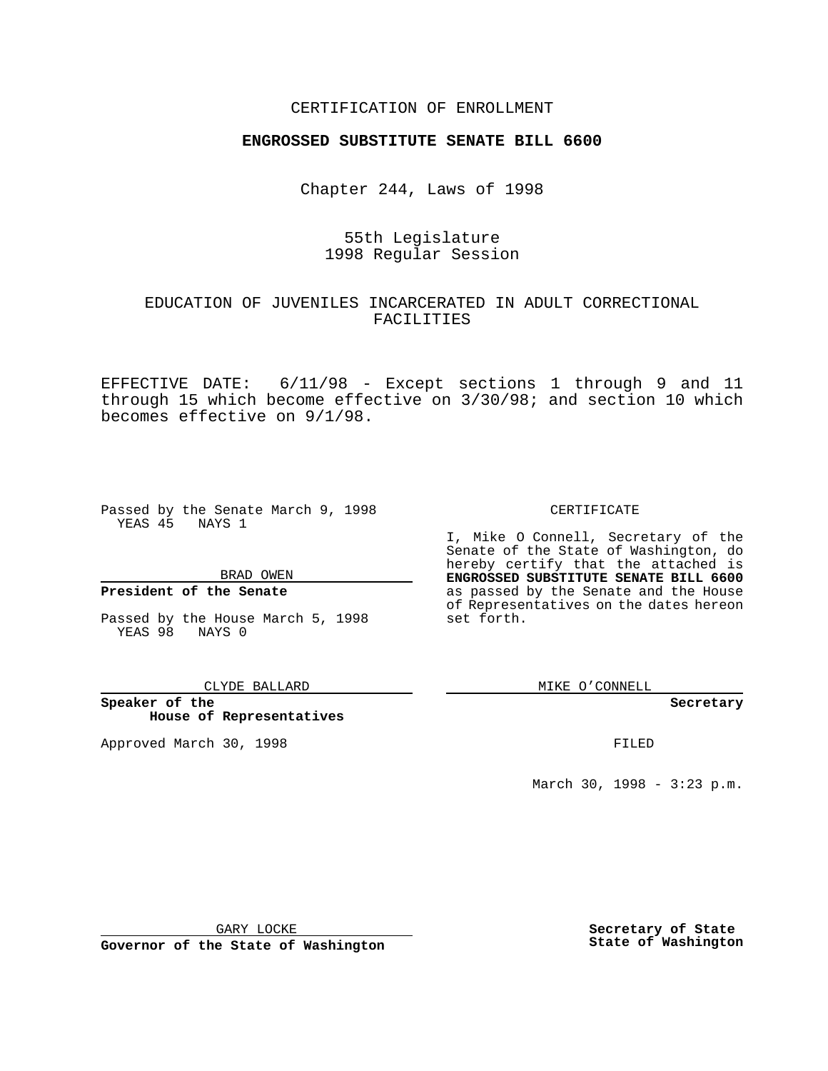### CERTIFICATION OF ENROLLMENT

# **ENGROSSED SUBSTITUTE SENATE BILL 6600**

Chapter 244, Laws of 1998

## 55th Legislature 1998 Regular Session

# EDUCATION OF JUVENILES INCARCERATED IN ADULT CORRECTIONAL FACILITIES

EFFECTIVE DATE: 6/11/98 - Except sections 1 through 9 and 11 through 15 which become effective on 3/30/98; and section 10 which becomes effective on 9/1/98.

Passed by the Senate March 9, 1998 YEAS 45 NAYS 1

BRAD OWEN

### **President of the Senate**

Passed by the House March 5, 1998 YEAS 98 NAYS 0

CLYDE BALLARD

**Speaker of the House of Representatives**

Approved March 30, 1998 **FILED** 

### CERTIFICATE

I, Mike O Connell, Secretary of the Senate of the State of Washington, do hereby certify that the attached is **ENGROSSED SUBSTITUTE SENATE BILL 6600** as passed by the Senate and the House of Representatives on the dates hereon set forth.

MIKE O'CONNELL

**Secretary**

March 30, 1998 - 3:23 p.m.

GARY LOCKE

**Governor of the State of Washington**

**Secretary of State State of Washington**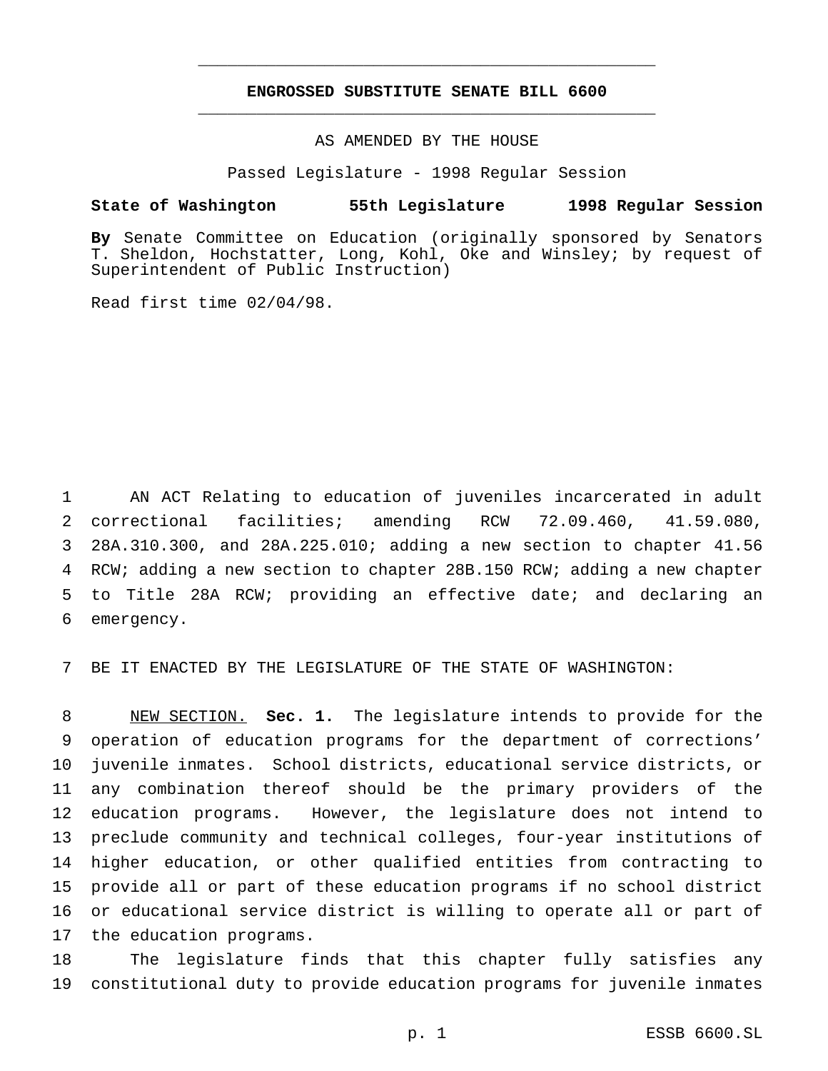## **ENGROSSED SUBSTITUTE SENATE BILL 6600** \_\_\_\_\_\_\_\_\_\_\_\_\_\_\_\_\_\_\_\_\_\_\_\_\_\_\_\_\_\_\_\_\_\_\_\_\_\_\_\_\_\_\_\_\_\_\_

\_\_\_\_\_\_\_\_\_\_\_\_\_\_\_\_\_\_\_\_\_\_\_\_\_\_\_\_\_\_\_\_\_\_\_\_\_\_\_\_\_\_\_\_\_\_\_

### AS AMENDED BY THE HOUSE

Passed Legislature - 1998 Regular Session

#### **State of Washington 55th Legislature 1998 Regular Session**

**By** Senate Committee on Education (originally sponsored by Senators T. Sheldon, Hochstatter, Long, Kohl, Oke and Winsley; by request of Superintendent of Public Instruction)

Read first time 02/04/98.

 AN ACT Relating to education of juveniles incarcerated in adult correctional facilities; amending RCW 72.09.460, 41.59.080, 28A.310.300, and 28A.225.010; adding a new section to chapter 41.56 RCW; adding a new section to chapter 28B.150 RCW; adding a new chapter to Title 28A RCW; providing an effective date; and declaring an emergency.

BE IT ENACTED BY THE LEGISLATURE OF THE STATE OF WASHINGTON:

 NEW SECTION. **Sec. 1.** The legislature intends to provide for the operation of education programs for the department of corrections' juvenile inmates. School districts, educational service districts, or any combination thereof should be the primary providers of the education programs. However, the legislature does not intend to preclude community and technical colleges, four-year institutions of higher education, or other qualified entities from contracting to provide all or part of these education programs if no school district or educational service district is willing to operate all or part of the education programs.

 The legislature finds that this chapter fully satisfies any constitutional duty to provide education programs for juvenile inmates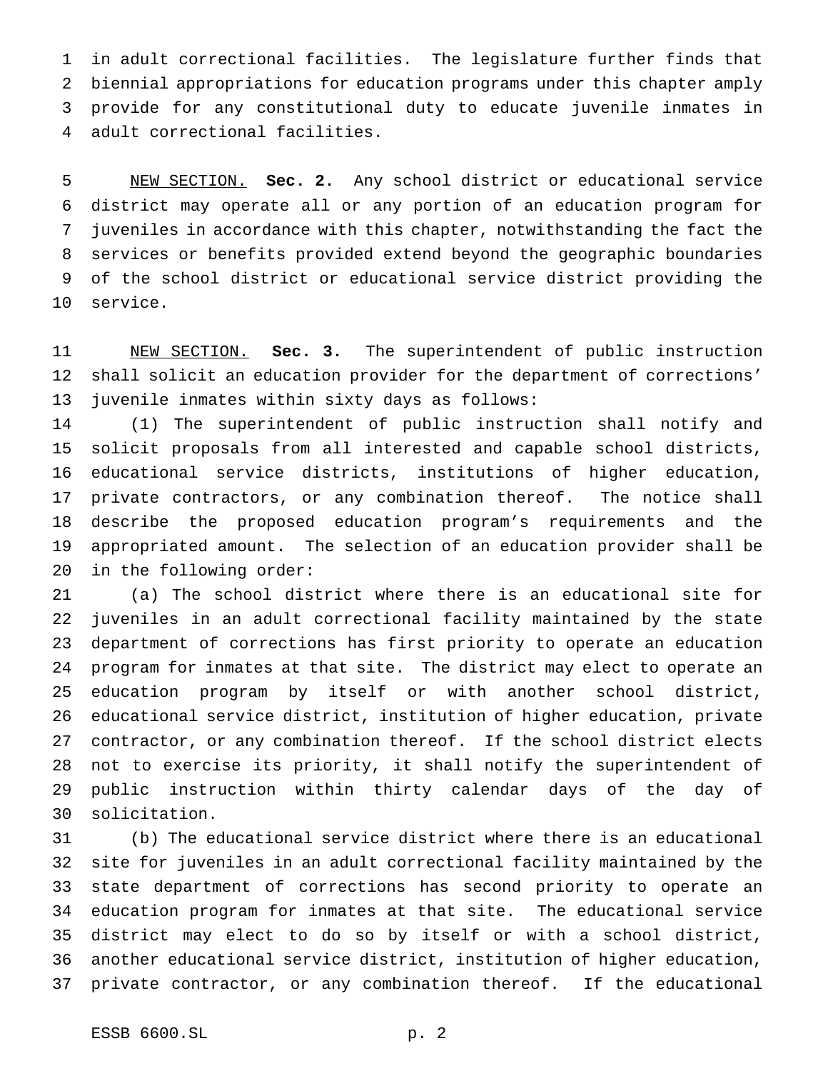in adult correctional facilities. The legislature further finds that biennial appropriations for education programs under this chapter amply provide for any constitutional duty to educate juvenile inmates in adult correctional facilities.

 NEW SECTION. **Sec. 2.** Any school district or educational service district may operate all or any portion of an education program for juveniles in accordance with this chapter, notwithstanding the fact the services or benefits provided extend beyond the geographic boundaries of the school district or educational service district providing the service.

 NEW SECTION. **Sec. 3.** The superintendent of public instruction shall solicit an education provider for the department of corrections' juvenile inmates within sixty days as follows:

 (1) The superintendent of public instruction shall notify and solicit proposals from all interested and capable school districts, educational service districts, institutions of higher education, private contractors, or any combination thereof. The notice shall describe the proposed education program's requirements and the appropriated amount. The selection of an education provider shall be in the following order:

 (a) The school district where there is an educational site for juveniles in an adult correctional facility maintained by the state department of corrections has first priority to operate an education program for inmates at that site. The district may elect to operate an education program by itself or with another school district, educational service district, institution of higher education, private contractor, or any combination thereof. If the school district elects not to exercise its priority, it shall notify the superintendent of public instruction within thirty calendar days of the day of solicitation.

 (b) The educational service district where there is an educational site for juveniles in an adult correctional facility maintained by the state department of corrections has second priority to operate an education program for inmates at that site. The educational service district may elect to do so by itself or with a school district, another educational service district, institution of higher education, private contractor, or any combination thereof. If the educational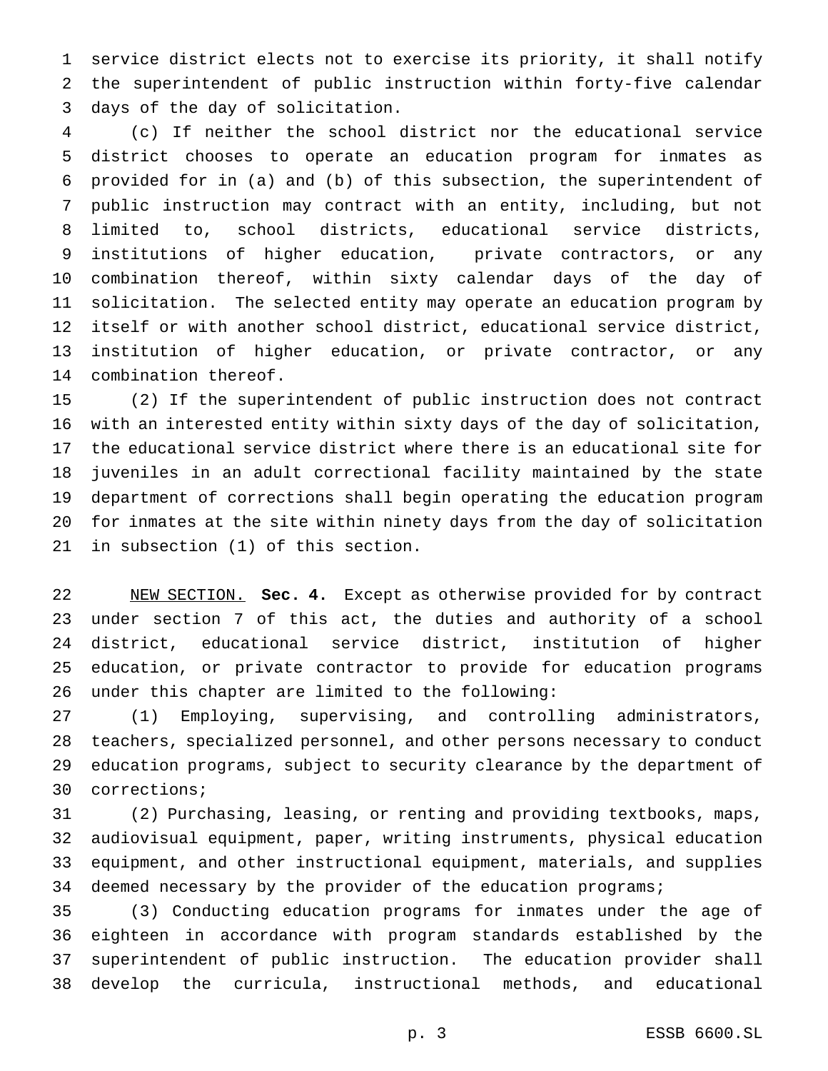service district elects not to exercise its priority, it shall notify the superintendent of public instruction within forty-five calendar days of the day of solicitation.

 (c) If neither the school district nor the educational service district chooses to operate an education program for inmates as provided for in (a) and (b) of this subsection, the superintendent of public instruction may contract with an entity, including, but not limited to, school districts, educational service districts, institutions of higher education, private contractors, or any combination thereof, within sixty calendar days of the day of solicitation. The selected entity may operate an education program by itself or with another school district, educational service district, institution of higher education, or private contractor, or any combination thereof.

 (2) If the superintendent of public instruction does not contract with an interested entity within sixty days of the day of solicitation, the educational service district where there is an educational site for juveniles in an adult correctional facility maintained by the state department of corrections shall begin operating the education program for inmates at the site within ninety days from the day of solicitation in subsection (1) of this section.

 NEW SECTION. **Sec. 4.** Except as otherwise provided for by contract under section 7 of this act, the duties and authority of a school district, educational service district, institution of higher education, or private contractor to provide for education programs under this chapter are limited to the following:

 (1) Employing, supervising, and controlling administrators, teachers, specialized personnel, and other persons necessary to conduct education programs, subject to security clearance by the department of corrections;

 (2) Purchasing, leasing, or renting and providing textbooks, maps, audiovisual equipment, paper, writing instruments, physical education equipment, and other instructional equipment, materials, and supplies 34 deemed necessary by the provider of the education programs;

 (3) Conducting education programs for inmates under the age of eighteen in accordance with program standards established by the superintendent of public instruction. The education provider shall develop the curricula, instructional methods, and educational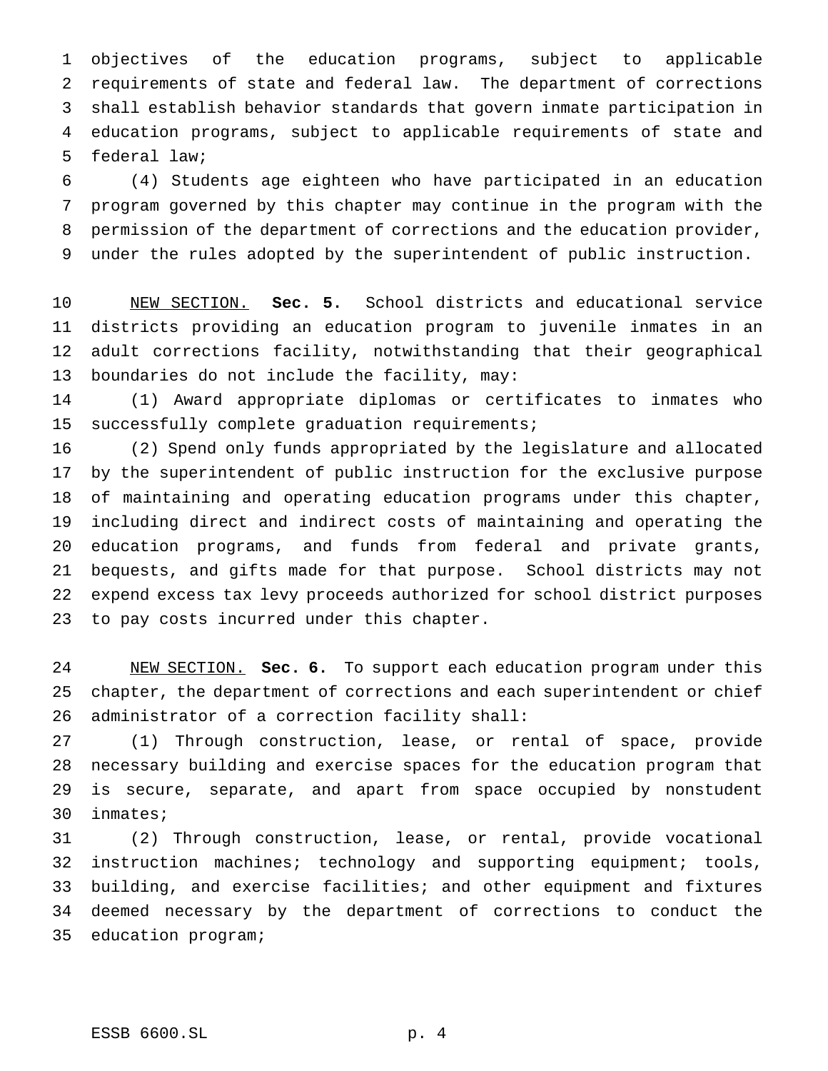objectives of the education programs, subject to applicable requirements of state and federal law. The department of corrections shall establish behavior standards that govern inmate participation in education programs, subject to applicable requirements of state and federal law;

 (4) Students age eighteen who have participated in an education program governed by this chapter may continue in the program with the permission of the department of corrections and the education provider, under the rules adopted by the superintendent of public instruction.

 NEW SECTION. **Sec. 5.** School districts and educational service districts providing an education program to juvenile inmates in an adult corrections facility, notwithstanding that their geographical boundaries do not include the facility, may:

 (1) Award appropriate diplomas or certificates to inmates who successfully complete graduation requirements;

 (2) Spend only funds appropriated by the legislature and allocated by the superintendent of public instruction for the exclusive purpose of maintaining and operating education programs under this chapter, including direct and indirect costs of maintaining and operating the education programs, and funds from federal and private grants, bequests, and gifts made for that purpose. School districts may not expend excess tax levy proceeds authorized for school district purposes to pay costs incurred under this chapter.

 NEW SECTION. **Sec. 6.** To support each education program under this chapter, the department of corrections and each superintendent or chief administrator of a correction facility shall:

 (1) Through construction, lease, or rental of space, provide necessary building and exercise spaces for the education program that is secure, separate, and apart from space occupied by nonstudent inmates;

 (2) Through construction, lease, or rental, provide vocational instruction machines; technology and supporting equipment; tools, building, and exercise facilities; and other equipment and fixtures deemed necessary by the department of corrections to conduct the education program;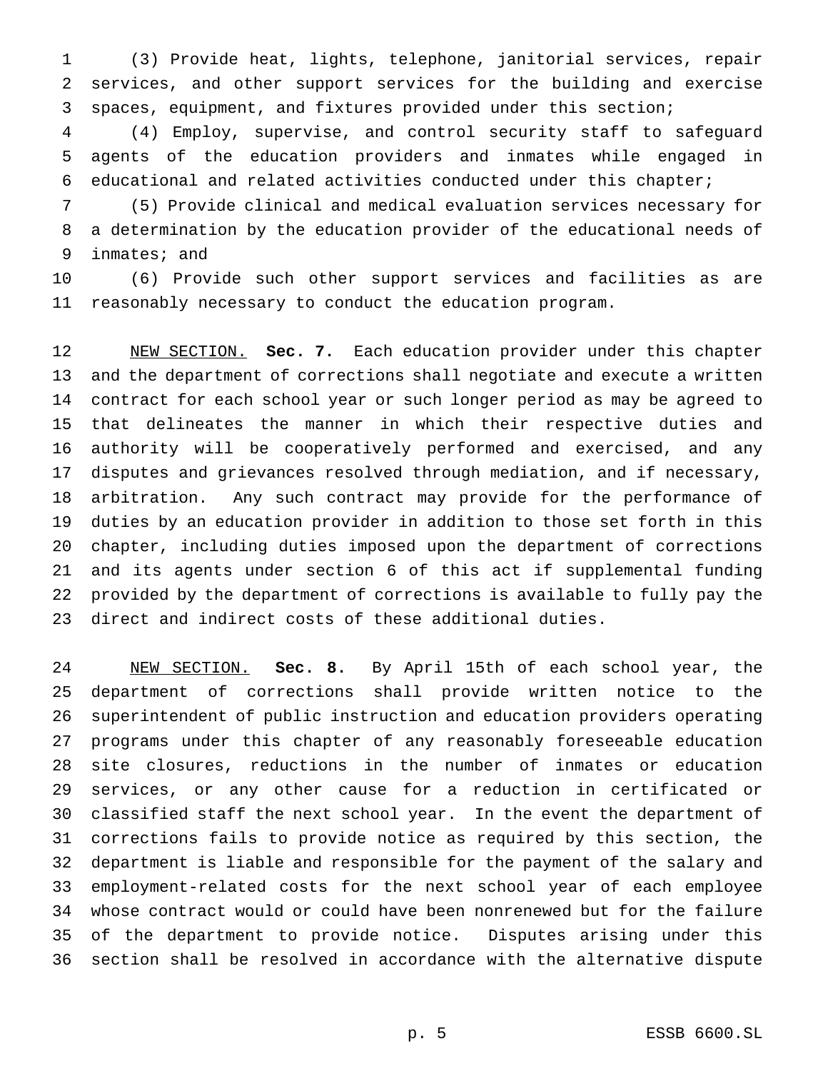(3) Provide heat, lights, telephone, janitorial services, repair services, and other support services for the building and exercise spaces, equipment, and fixtures provided under this section;

 (4) Employ, supervise, and control security staff to safeguard agents of the education providers and inmates while engaged in educational and related activities conducted under this chapter;

 (5) Provide clinical and medical evaluation services necessary for a determination by the education provider of the educational needs of inmates; and

 (6) Provide such other support services and facilities as are reasonably necessary to conduct the education program.

 NEW SECTION. **Sec. 7.** Each education provider under this chapter and the department of corrections shall negotiate and execute a written contract for each school year or such longer period as may be agreed to that delineates the manner in which their respective duties and authority will be cooperatively performed and exercised, and any disputes and grievances resolved through mediation, and if necessary, arbitration. Any such contract may provide for the performance of duties by an education provider in addition to those set forth in this chapter, including duties imposed upon the department of corrections and its agents under section 6 of this act if supplemental funding provided by the department of corrections is available to fully pay the direct and indirect costs of these additional duties.

 NEW SECTION. **Sec. 8.** By April 15th of each school year, the department of corrections shall provide written notice to the superintendent of public instruction and education providers operating programs under this chapter of any reasonably foreseeable education site closures, reductions in the number of inmates or education services, or any other cause for a reduction in certificated or classified staff the next school year. In the event the department of corrections fails to provide notice as required by this section, the department is liable and responsible for the payment of the salary and employment-related costs for the next school year of each employee whose contract would or could have been nonrenewed but for the failure of the department to provide notice. Disputes arising under this section shall be resolved in accordance with the alternative dispute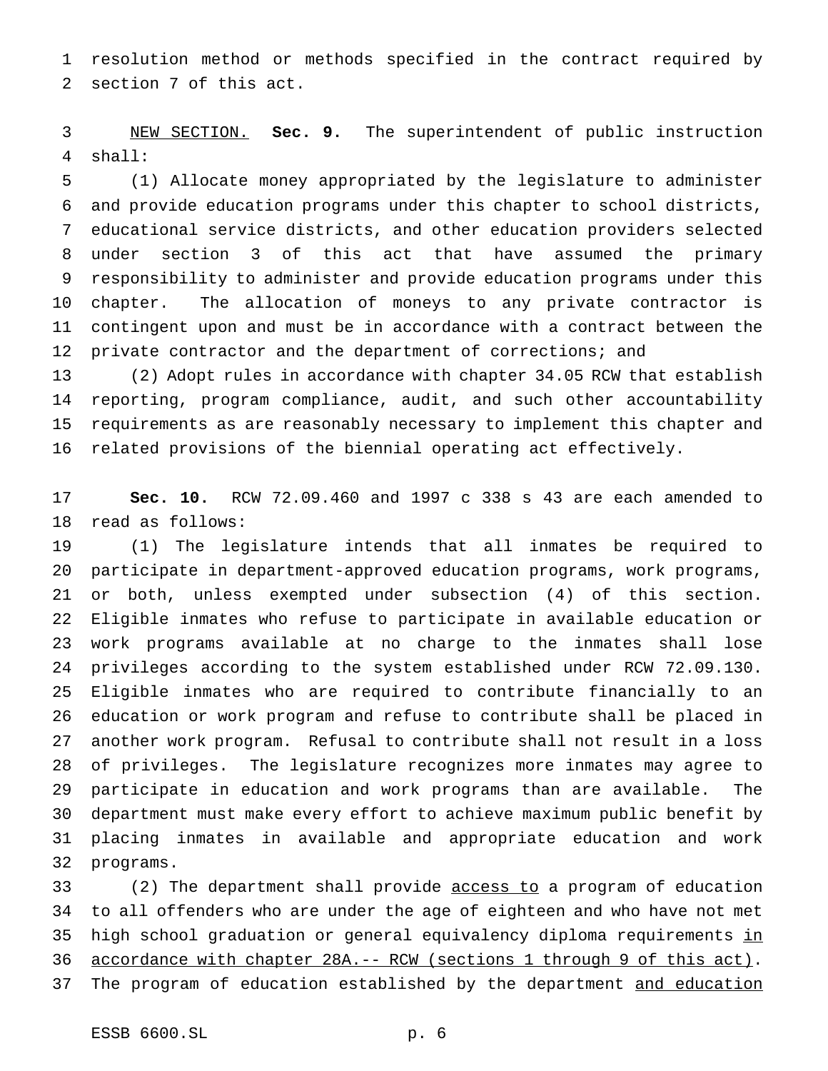resolution method or methods specified in the contract required by section 7 of this act.

 NEW SECTION. **Sec. 9.** The superintendent of public instruction shall:

 (1) Allocate money appropriated by the legislature to administer and provide education programs under this chapter to school districts, educational service districts, and other education providers selected under section 3 of this act that have assumed the primary responsibility to administer and provide education programs under this chapter. The allocation of moneys to any private contractor is contingent upon and must be in accordance with a contract between the private contractor and the department of corrections; and

 (2) Adopt rules in accordance with chapter 34.05 RCW that establish reporting, program compliance, audit, and such other accountability requirements as are reasonably necessary to implement this chapter and related provisions of the biennial operating act effectively.

 **Sec. 10.** RCW 72.09.460 and 1997 c 338 s 43 are each amended to read as follows:

 (1) The legislature intends that all inmates be required to participate in department-approved education programs, work programs, or both, unless exempted under subsection (4) of this section. Eligible inmates who refuse to participate in available education or work programs available at no charge to the inmates shall lose privileges according to the system established under RCW 72.09.130. Eligible inmates who are required to contribute financially to an education or work program and refuse to contribute shall be placed in another work program. Refusal to contribute shall not result in a loss of privileges. The legislature recognizes more inmates may agree to participate in education and work programs than are available. The department must make every effort to achieve maximum public benefit by placing inmates in available and appropriate education and work programs.

33 (2) The department shall provide access to a program of education to all offenders who are under the age of eighteen and who have not met 35 high school graduation or general equivalency diploma requirements in accordance with chapter 28A.-- RCW (sections 1 through 9 of this act). 37 The program of education established by the department and education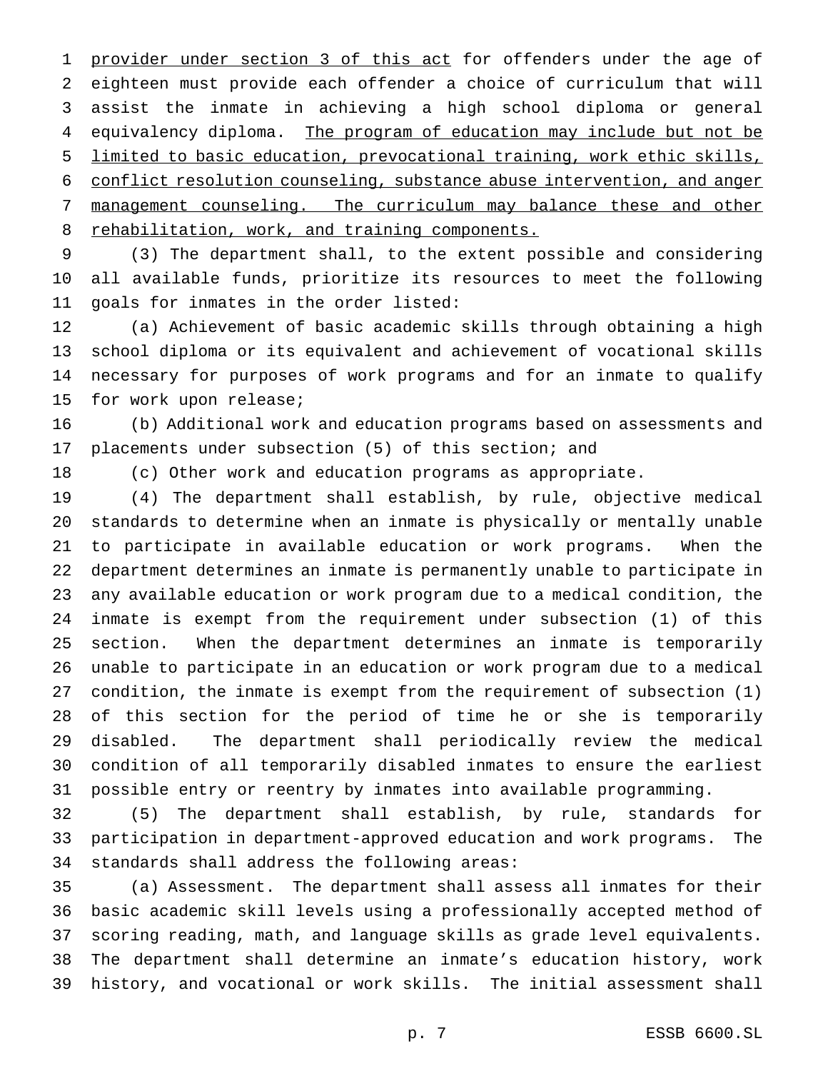1 provider under section 3 of this act for offenders under the age of eighteen must provide each offender a choice of curriculum that will assist the inmate in achieving a high school diploma or general 4 equivalency diploma. The program of education may include but not be limited to basic education, prevocational training, work ethic skills, conflict resolution counseling, substance abuse intervention, and anger management counseling. The curriculum may balance these and other 8 rehabilitation, work, and training components.

 (3) The department shall, to the extent possible and considering all available funds, prioritize its resources to meet the following goals for inmates in the order listed:

 (a) Achievement of basic academic skills through obtaining a high school diploma or its equivalent and achievement of vocational skills necessary for purposes of work programs and for an inmate to qualify for work upon release;

 (b) Additional work and education programs based on assessments and placements under subsection (5) of this section; and

(c) Other work and education programs as appropriate.

 (4) The department shall establish, by rule, objective medical standards to determine when an inmate is physically or mentally unable to participate in available education or work programs. When the department determines an inmate is permanently unable to participate in any available education or work program due to a medical condition, the inmate is exempt from the requirement under subsection (1) of this section. When the department determines an inmate is temporarily unable to participate in an education or work program due to a medical condition, the inmate is exempt from the requirement of subsection (1) of this section for the period of time he or she is temporarily disabled. The department shall periodically review the medical condition of all temporarily disabled inmates to ensure the earliest possible entry or reentry by inmates into available programming.

 (5) The department shall establish, by rule, standards for participation in department-approved education and work programs. The standards shall address the following areas:

 (a) Assessment. The department shall assess all inmates for their basic academic skill levels using a professionally accepted method of scoring reading, math, and language skills as grade level equivalents. The department shall determine an inmate's education history, work history, and vocational or work skills. The initial assessment shall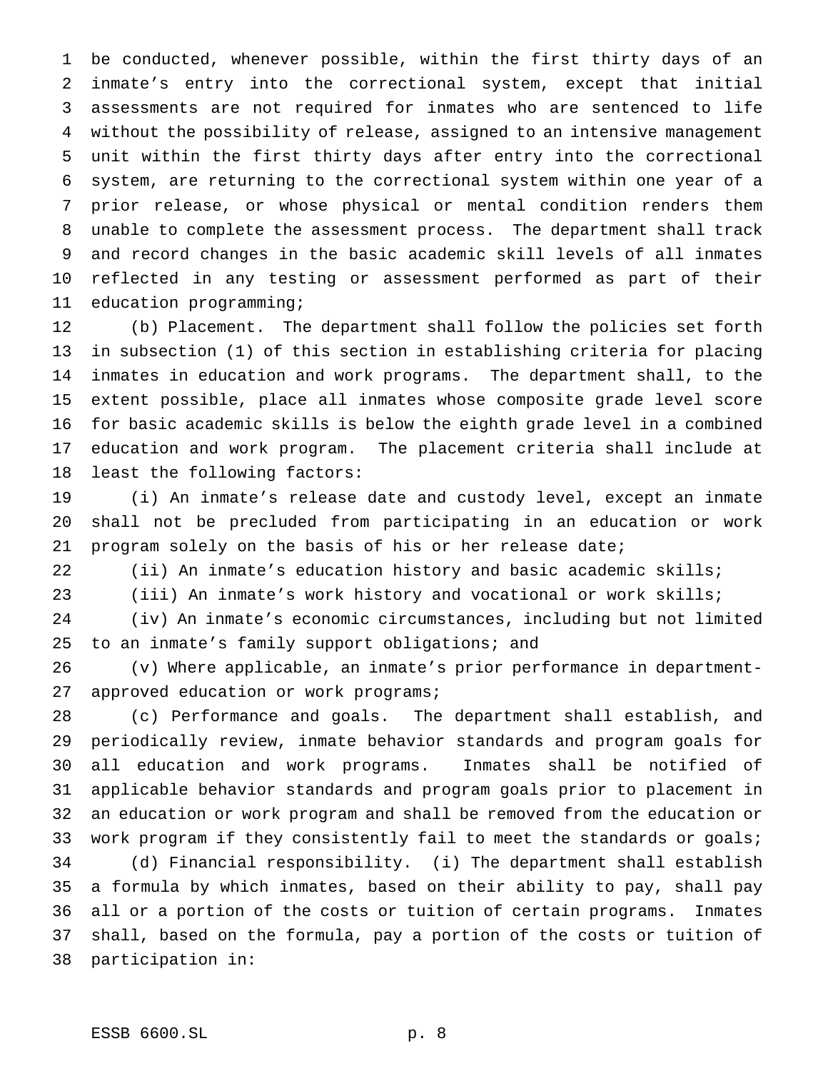be conducted, whenever possible, within the first thirty days of an inmate's entry into the correctional system, except that initial assessments are not required for inmates who are sentenced to life without the possibility of release, assigned to an intensive management unit within the first thirty days after entry into the correctional system, are returning to the correctional system within one year of a prior release, or whose physical or mental condition renders them unable to complete the assessment process. The department shall track and record changes in the basic academic skill levels of all inmates reflected in any testing or assessment performed as part of their education programming;

 (b) Placement. The department shall follow the policies set forth in subsection (1) of this section in establishing criteria for placing inmates in education and work programs. The department shall, to the extent possible, place all inmates whose composite grade level score for basic academic skills is below the eighth grade level in a combined education and work program. The placement criteria shall include at least the following factors:

 (i) An inmate's release date and custody level, except an inmate shall not be precluded from participating in an education or work program solely on the basis of his or her release date;

(ii) An inmate's education history and basic academic skills;

(iii) An inmate's work history and vocational or work skills;

 (iv) An inmate's economic circumstances, including but not limited to an inmate's family support obligations; and

 (v) Where applicable, an inmate's prior performance in department-approved education or work programs;

 (c) Performance and goals. The department shall establish, and periodically review, inmate behavior standards and program goals for all education and work programs. Inmates shall be notified of applicable behavior standards and program goals prior to placement in an education or work program and shall be removed from the education or work program if they consistently fail to meet the standards or goals; (d) Financial responsibility. (i) The department shall establish a formula by which inmates, based on their ability to pay, shall pay all or a portion of the costs or tuition of certain programs. Inmates shall, based on the formula, pay a portion of the costs or tuition of participation in: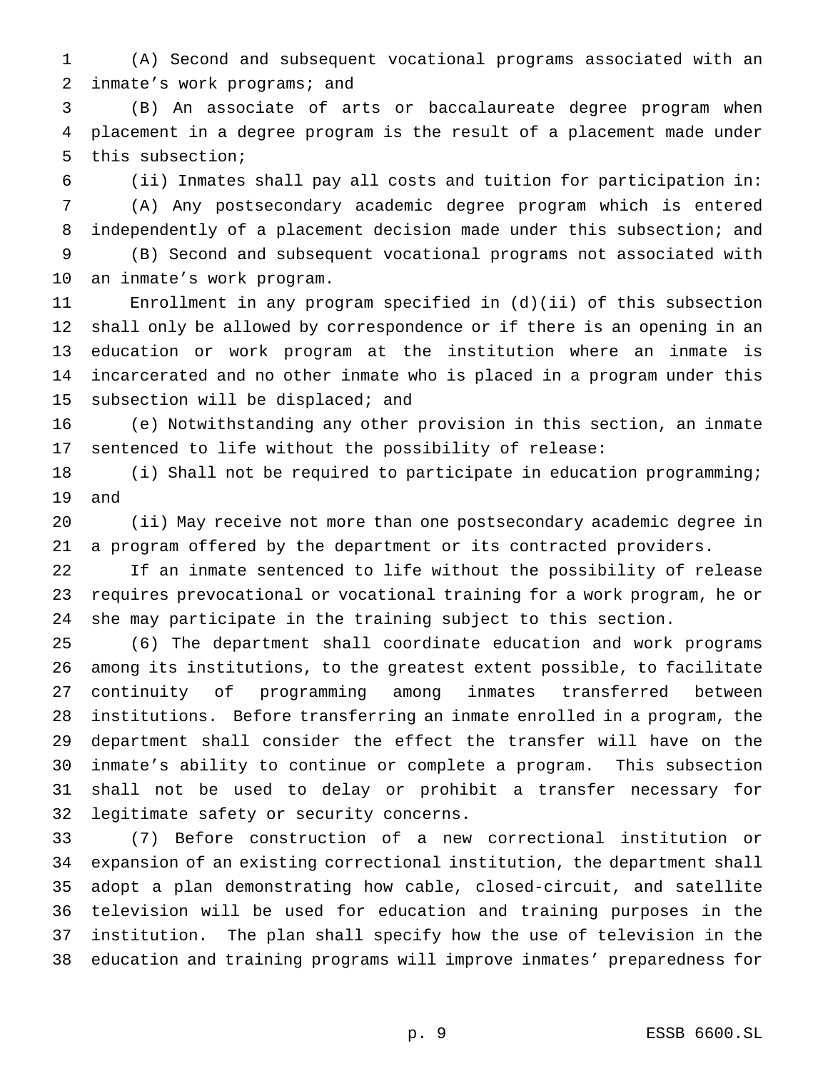(A) Second and subsequent vocational programs associated with an inmate's work programs; and

 (B) An associate of arts or baccalaureate degree program when placement in a degree program is the result of a placement made under this subsection;

(ii) Inmates shall pay all costs and tuition for participation in:

 (A) Any postsecondary academic degree program which is entered independently of a placement decision made under this subsection; and (B) Second and subsequent vocational programs not associated with

an inmate's work program.

 Enrollment in any program specified in (d)(ii) of this subsection shall only be allowed by correspondence or if there is an opening in an education or work program at the institution where an inmate is incarcerated and no other inmate who is placed in a program under this subsection will be displaced; and

 (e) Notwithstanding any other provision in this section, an inmate sentenced to life without the possibility of release:

 (i) Shall not be required to participate in education programming; and

 (ii) May receive not more than one postsecondary academic degree in a program offered by the department or its contracted providers.

 If an inmate sentenced to life without the possibility of release requires prevocational or vocational training for a work program, he or she may participate in the training subject to this section.

 (6) The department shall coordinate education and work programs among its institutions, to the greatest extent possible, to facilitate continuity of programming among inmates transferred between institutions. Before transferring an inmate enrolled in a program, the department shall consider the effect the transfer will have on the inmate's ability to continue or complete a program. This subsection shall not be used to delay or prohibit a transfer necessary for legitimate safety or security concerns.

 (7) Before construction of a new correctional institution or expansion of an existing correctional institution, the department shall adopt a plan demonstrating how cable, closed-circuit, and satellite television will be used for education and training purposes in the institution. The plan shall specify how the use of television in the education and training programs will improve inmates' preparedness for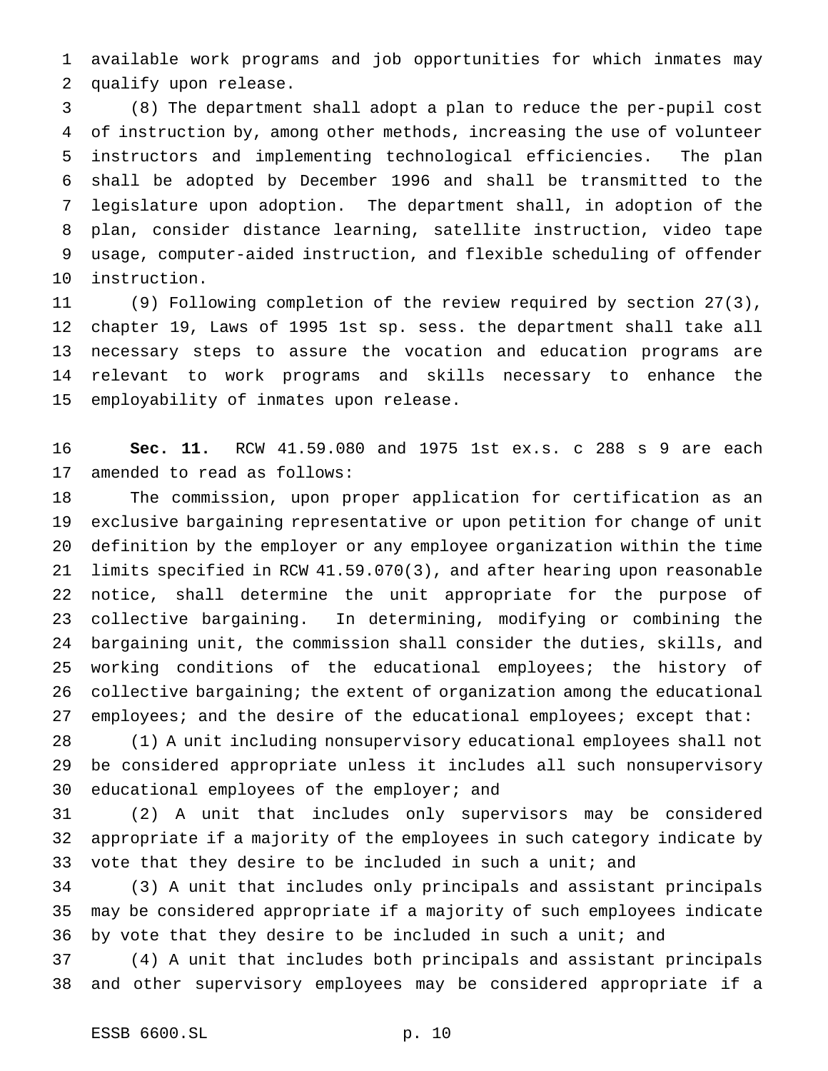available work programs and job opportunities for which inmates may qualify upon release.

 (8) The department shall adopt a plan to reduce the per-pupil cost of instruction by, among other methods, increasing the use of volunteer instructors and implementing technological efficiencies. The plan shall be adopted by December 1996 and shall be transmitted to the legislature upon adoption. The department shall, in adoption of the plan, consider distance learning, satellite instruction, video tape usage, computer-aided instruction, and flexible scheduling of offender instruction.

 (9) Following completion of the review required by section 27(3), chapter 19, Laws of 1995 1st sp. sess. the department shall take all necessary steps to assure the vocation and education programs are relevant to work programs and skills necessary to enhance the employability of inmates upon release.

 **Sec. 11.** RCW 41.59.080 and 1975 1st ex.s. c 288 s 9 are each amended to read as follows:

 The commission, upon proper application for certification as an exclusive bargaining representative or upon petition for change of unit definition by the employer or any employee organization within the time limits specified in RCW 41.59.070(3), and after hearing upon reasonable notice, shall determine the unit appropriate for the purpose of collective bargaining. In determining, modifying or combining the bargaining unit, the commission shall consider the duties, skills, and working conditions of the educational employees; the history of collective bargaining; the extent of organization among the educational 27 employees; and the desire of the educational employees; except that:

 (1) A unit including nonsupervisory educational employees shall not be considered appropriate unless it includes all such nonsupervisory 30 educational employees of the employer; and

 (2) A unit that includes only supervisors may be considered appropriate if a majority of the employees in such category indicate by 33 vote that they desire to be included in such a unit; and

 (3) A unit that includes only principals and assistant principals may be considered appropriate if a majority of such employees indicate 36 by vote that they desire to be included in such a unit; and

 (4) A unit that includes both principals and assistant principals and other supervisory employees may be considered appropriate if a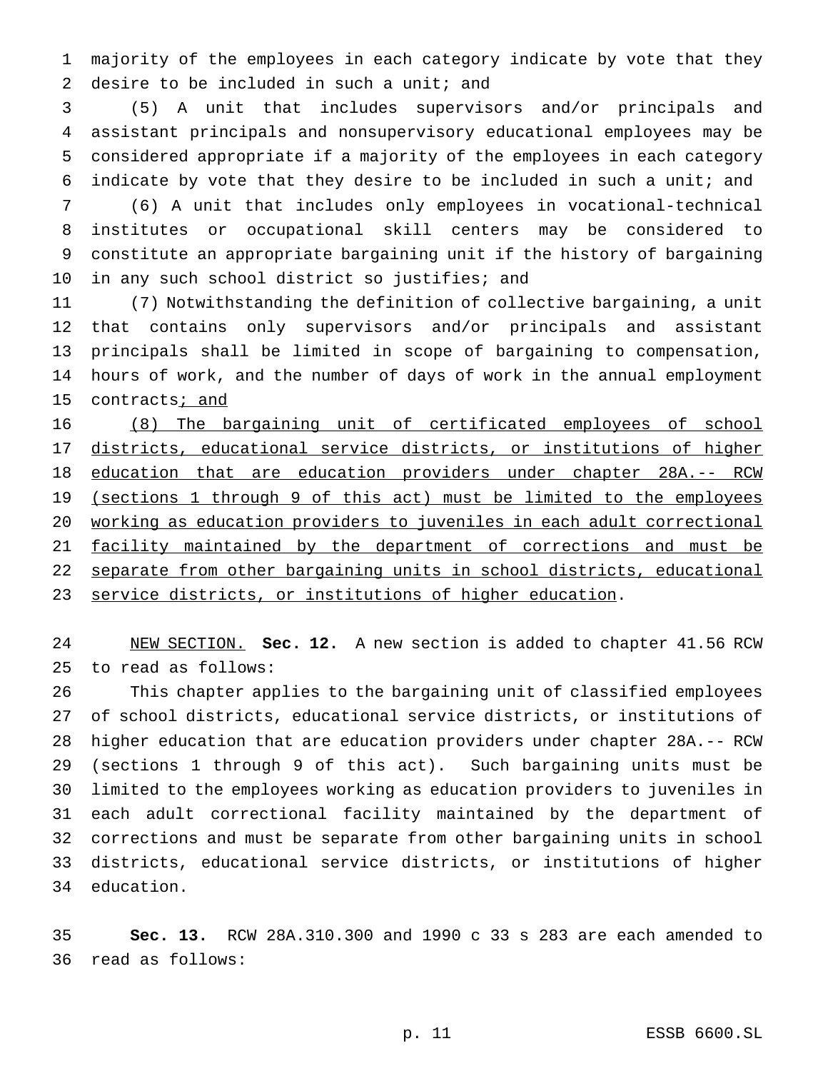majority of the employees in each category indicate by vote that they 2 desire to be included in such a unit; and

 (5) A unit that includes supervisors and/or principals and assistant principals and nonsupervisory educational employees may be considered appropriate if a majority of the employees in each category indicate by vote that they desire to be included in such a unit; and

 (6) A unit that includes only employees in vocational-technical institutes or occupational skill centers may be considered to constitute an appropriate bargaining unit if the history of bargaining 10 in any such school district so justifies; and

 (7) Notwithstanding the definition of collective bargaining, a unit that contains only supervisors and/or principals and assistant principals shall be limited in scope of bargaining to compensation, hours of work, and the number of days of work in the annual employment 15 contracts<sub>i and</sub>

 (8) The bargaining unit of certificated employees of school districts, educational service districts, or institutions of higher education that are education providers under chapter 28A.-- RCW 19 (sections 1 through 9 of this act) must be limited to the employees working as education providers to juveniles in each adult correctional 21 facility maintained by the department of corrections and must be separate from other bargaining units in school districts, educational service districts, or institutions of higher education.

 NEW SECTION. **Sec. 12.** A new section is added to chapter 41.56 RCW to read as follows:

 This chapter applies to the bargaining unit of classified employees of school districts, educational service districts, or institutions of higher education that are education providers under chapter 28A.-- RCW (sections 1 through 9 of this act). Such bargaining units must be limited to the employees working as education providers to juveniles in each adult correctional facility maintained by the department of corrections and must be separate from other bargaining units in school districts, educational service districts, or institutions of higher education.

 **Sec. 13.** RCW 28A.310.300 and 1990 c 33 s 283 are each amended to read as follows: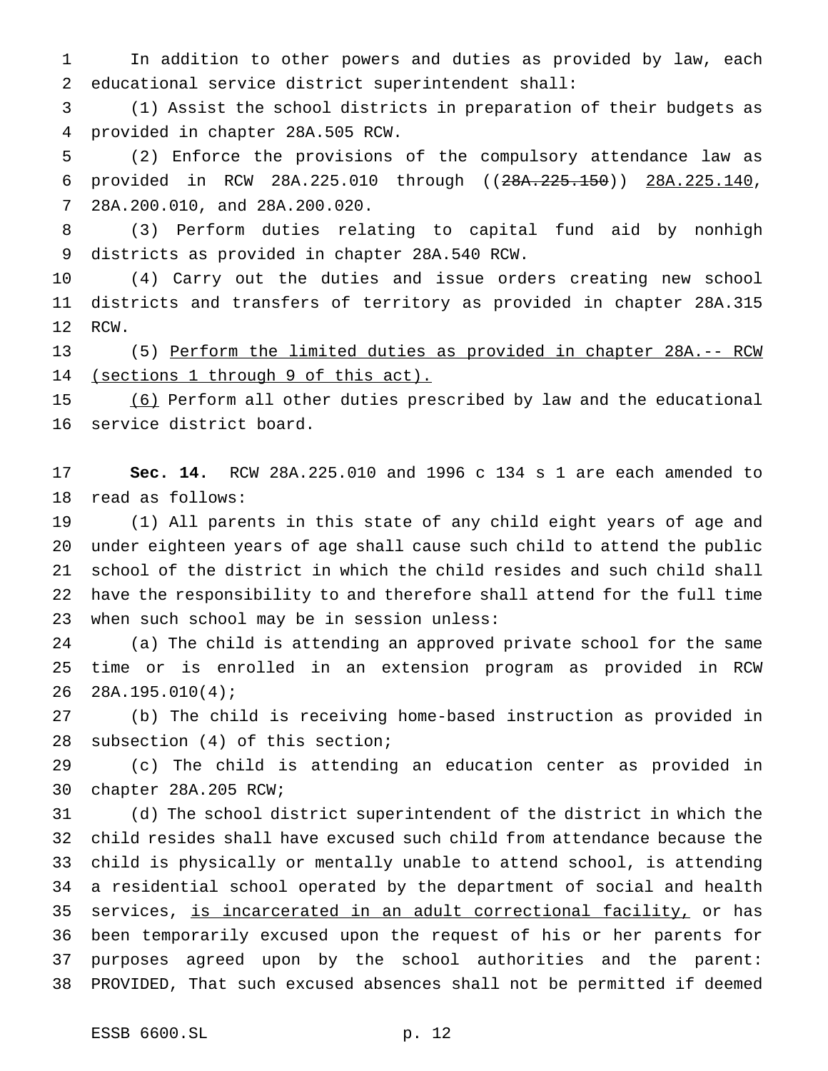In addition to other powers and duties as provided by law, each educational service district superintendent shall:

 (1) Assist the school districts in preparation of their budgets as provided in chapter 28A.505 RCW.

 (2) Enforce the provisions of the compulsory attendance law as provided in RCW 28A.225.010 through ((28A.225.150)) 28A.225.140, 28A.200.010, and 28A.200.020.

 (3) Perform duties relating to capital fund aid by nonhigh districts as provided in chapter 28A.540 RCW.

 (4) Carry out the duties and issue orders creating new school districts and transfers of territory as provided in chapter 28A.315 RCW.

 (5) Perform the limited duties as provided in chapter 28A.-- RCW 14 (sections 1 through 9 of this act).

 (6) Perform all other duties prescribed by law and the educational service district board.

 **Sec. 14.** RCW 28A.225.010 and 1996 c 134 s 1 are each amended to read as follows:

 (1) All parents in this state of any child eight years of age and under eighteen years of age shall cause such child to attend the public school of the district in which the child resides and such child shall have the responsibility to and therefore shall attend for the full time when such school may be in session unless:

 (a) The child is attending an approved private school for the same time or is enrolled in an extension program as provided in RCW 28A.195.010(4);

 (b) The child is receiving home-based instruction as provided in subsection (4) of this section;

 (c) The child is attending an education center as provided in chapter 28A.205 RCW;

 (d) The school district superintendent of the district in which the child resides shall have excused such child from attendance because the child is physically or mentally unable to attend school, is attending a residential school operated by the department of social and health 35 services, is incarcerated in an adult correctional facility, or has been temporarily excused upon the request of his or her parents for purposes agreed upon by the school authorities and the parent: PROVIDED, That such excused absences shall not be permitted if deemed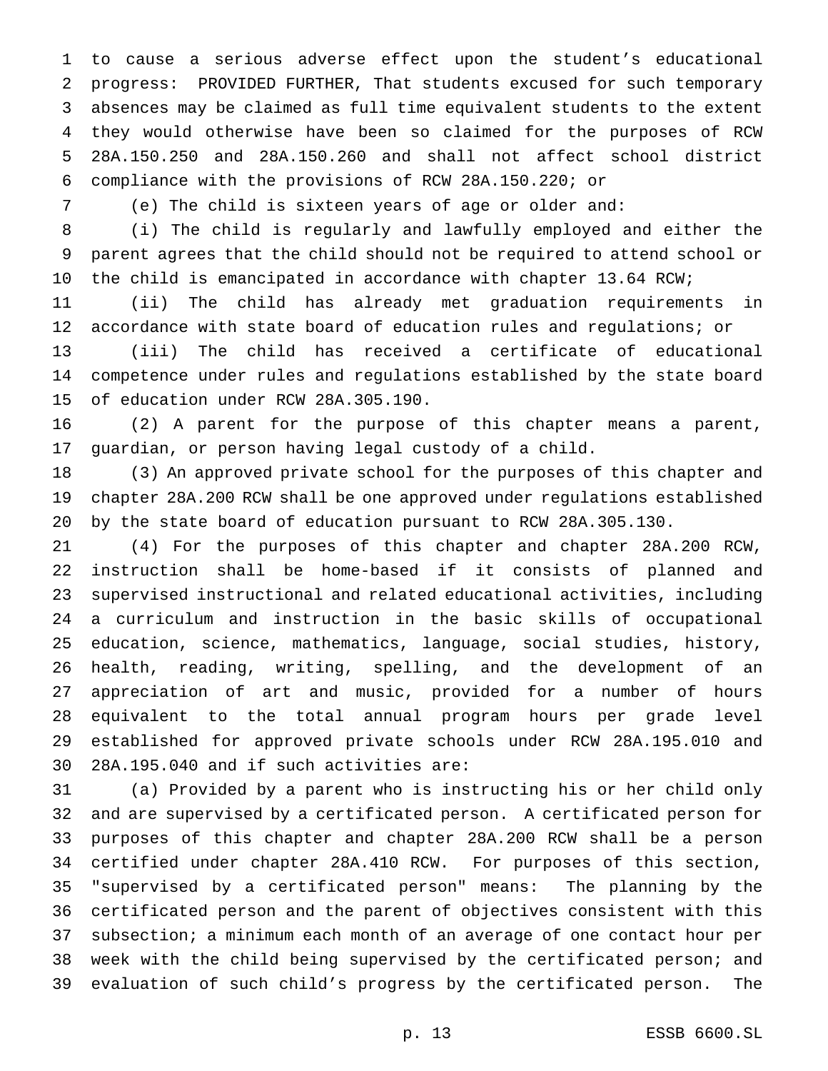to cause a serious adverse effect upon the student's educational progress: PROVIDED FURTHER, That students excused for such temporary absences may be claimed as full time equivalent students to the extent they would otherwise have been so claimed for the purposes of RCW 28A.150.250 and 28A.150.260 and shall not affect school district compliance with the provisions of RCW 28A.150.220; or

(e) The child is sixteen years of age or older and:

 (i) The child is regularly and lawfully employed and either the parent agrees that the child should not be required to attend school or the child is emancipated in accordance with chapter 13.64 RCW;

 (ii) The child has already met graduation requirements in accordance with state board of education rules and regulations; or

 (iii) The child has received a certificate of educational competence under rules and regulations established by the state board of education under RCW 28A.305.190.

 (2) A parent for the purpose of this chapter means a parent, guardian, or person having legal custody of a child.

 (3) An approved private school for the purposes of this chapter and chapter 28A.200 RCW shall be one approved under regulations established by the state board of education pursuant to RCW 28A.305.130.

 (4) For the purposes of this chapter and chapter 28A.200 RCW, instruction shall be home-based if it consists of planned and supervised instructional and related educational activities, including a curriculum and instruction in the basic skills of occupational education, science, mathematics, language, social studies, history, health, reading, writing, spelling, and the development of an appreciation of art and music, provided for a number of hours equivalent to the total annual program hours per grade level established for approved private schools under RCW 28A.195.010 and 28A.195.040 and if such activities are:

 (a) Provided by a parent who is instructing his or her child only and are supervised by a certificated person. A certificated person for purposes of this chapter and chapter 28A.200 RCW shall be a person certified under chapter 28A.410 RCW. For purposes of this section, "supervised by a certificated person" means: The planning by the certificated person and the parent of objectives consistent with this subsection; a minimum each month of an average of one contact hour per week with the child being supervised by the certificated person; and evaluation of such child's progress by the certificated person. The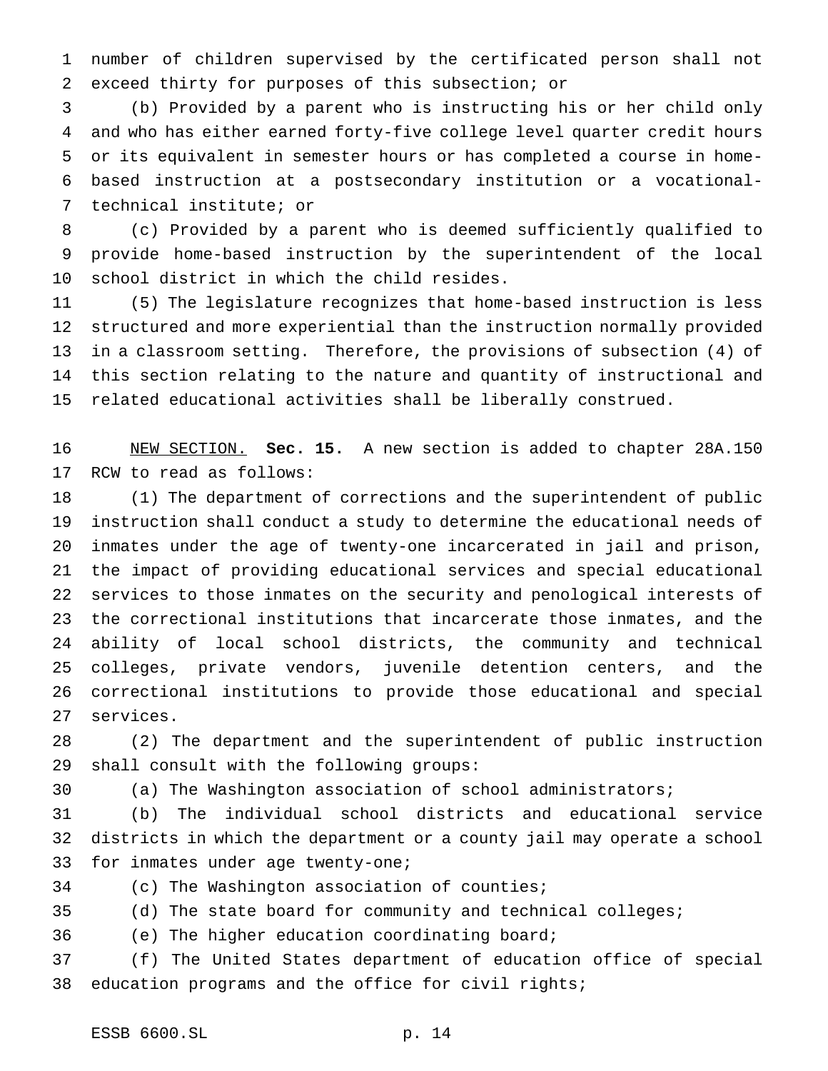number of children supervised by the certificated person shall not exceed thirty for purposes of this subsection; or

 (b) Provided by a parent who is instructing his or her child only and who has either earned forty-five college level quarter credit hours or its equivalent in semester hours or has completed a course in home- based instruction at a postsecondary institution or a vocational-technical institute; or

 (c) Provided by a parent who is deemed sufficiently qualified to provide home-based instruction by the superintendent of the local school district in which the child resides.

 (5) The legislature recognizes that home-based instruction is less structured and more experiential than the instruction normally provided in a classroom setting. Therefore, the provisions of subsection (4) of this section relating to the nature and quantity of instructional and related educational activities shall be liberally construed.

 NEW SECTION. **Sec. 15.** A new section is added to chapter 28A.150 RCW to read as follows:

 (1) The department of corrections and the superintendent of public instruction shall conduct a study to determine the educational needs of inmates under the age of twenty-one incarcerated in jail and prison, the impact of providing educational services and special educational services to those inmates on the security and penological interests of the correctional institutions that incarcerate those inmates, and the ability of local school districts, the community and technical colleges, private vendors, juvenile detention centers, and the correctional institutions to provide those educational and special services.

 (2) The department and the superintendent of public instruction shall consult with the following groups:

(a) The Washington association of school administrators;

 (b) The individual school districts and educational service districts in which the department or a county jail may operate a school for inmates under age twenty-one;

(c) The Washington association of counties;

(d) The state board for community and technical colleges;

(e) The higher education coordinating board;

 (f) The United States department of education office of special education programs and the office for civil rights;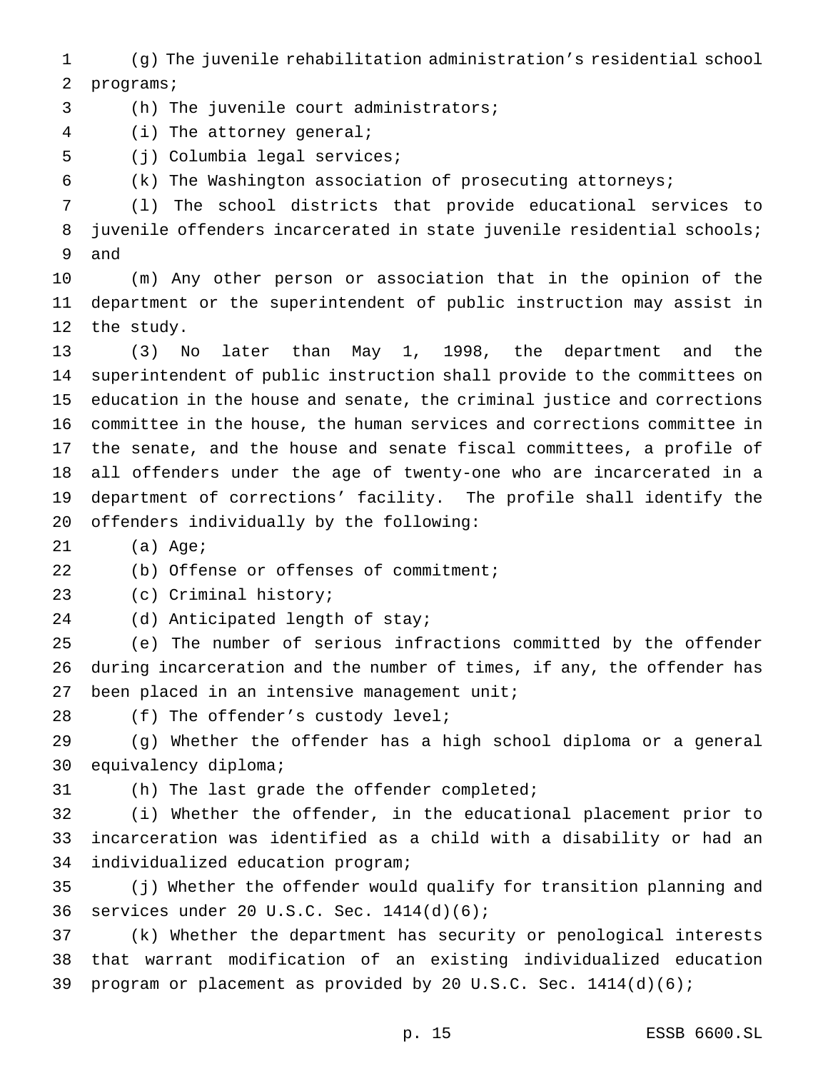(g) The juvenile rehabilitation administration's residential school programs;

(h) The juvenile court administrators;

(i) The attorney general;

(j) Columbia legal services;

(k) The Washington association of prosecuting attorneys;

 (l) The school districts that provide educational services to juvenile offenders incarcerated in state juvenile residential schools; and

 (m) Any other person or association that in the opinion of the department or the superintendent of public instruction may assist in the study.

 (3) No later than May 1, 1998, the department and the superintendent of public instruction shall provide to the committees on education in the house and senate, the criminal justice and corrections committee in the house, the human services and corrections committee in the senate, and the house and senate fiscal committees, a profile of all offenders under the age of twenty-one who are incarcerated in a department of corrections' facility. The profile shall identify the offenders individually by the following:

(a) Age;

(b) Offense or offenses of commitment;

(c) Criminal history;

(d) Anticipated length of stay;

 (e) The number of serious infractions committed by the offender during incarceration and the number of times, if any, the offender has 27 been placed in an intensive management unit;

28 (f) The offender's custody level;

 (g) Whether the offender has a high school diploma or a general equivalency diploma;

(h) The last grade the offender completed;

 (i) Whether the offender, in the educational placement prior to incarceration was identified as a child with a disability or had an individualized education program;

 (j) Whether the offender would qualify for transition planning and services under 20 U.S.C. Sec. 1414(d)(6);

 (k) Whether the department has security or penological interests that warrant modification of an existing individualized education program or placement as provided by 20 U.S.C. Sec. 1414(d)(6);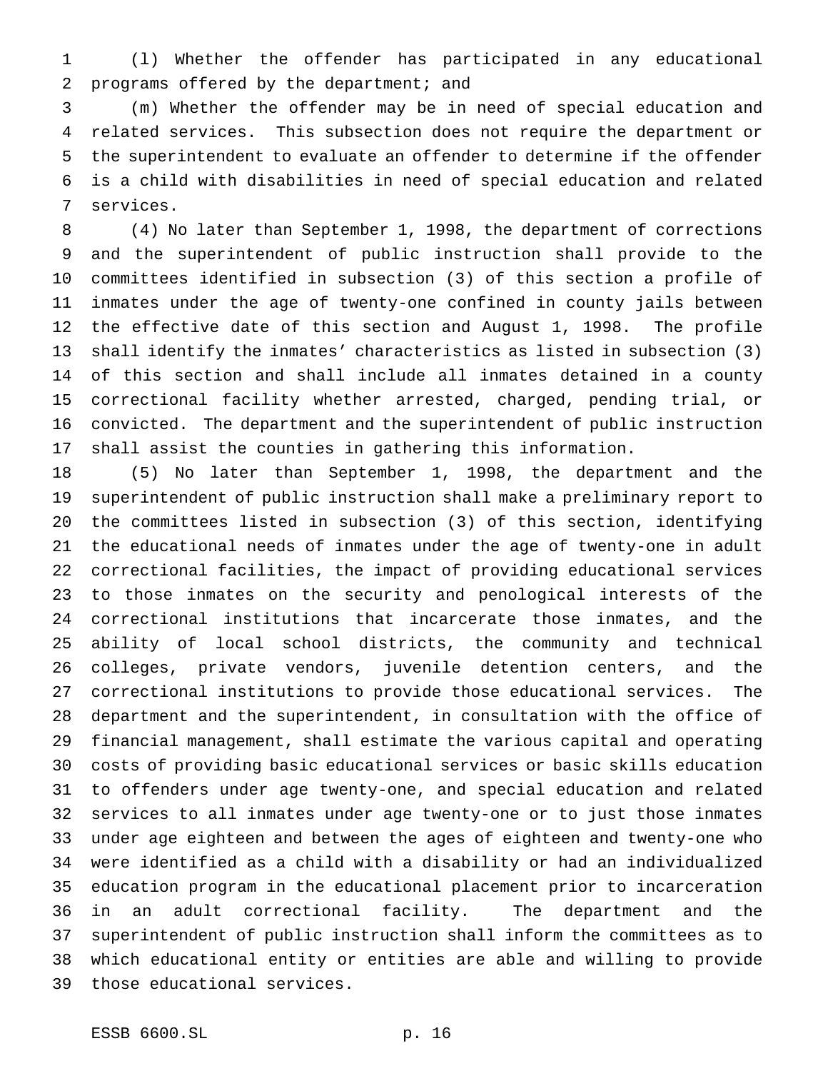(l) Whether the offender has participated in any educational programs offered by the department; and

 (m) Whether the offender may be in need of special education and related services. This subsection does not require the department or the superintendent to evaluate an offender to determine if the offender is a child with disabilities in need of special education and related services.

 (4) No later than September 1, 1998, the department of corrections and the superintendent of public instruction shall provide to the committees identified in subsection (3) of this section a profile of inmates under the age of twenty-one confined in county jails between the effective date of this section and August 1, 1998. The profile shall identify the inmates' characteristics as listed in subsection (3) of this section and shall include all inmates detained in a county correctional facility whether arrested, charged, pending trial, or convicted. The department and the superintendent of public instruction shall assist the counties in gathering this information.

 (5) No later than September 1, 1998, the department and the superintendent of public instruction shall make a preliminary report to the committees listed in subsection (3) of this section, identifying the educational needs of inmates under the age of twenty-one in adult correctional facilities, the impact of providing educational services to those inmates on the security and penological interests of the correctional institutions that incarcerate those inmates, and the ability of local school districts, the community and technical colleges, private vendors, juvenile detention centers, and the correctional institutions to provide those educational services. The department and the superintendent, in consultation with the office of financial management, shall estimate the various capital and operating costs of providing basic educational services or basic skills education to offenders under age twenty-one, and special education and related services to all inmates under age twenty-one or to just those inmates under age eighteen and between the ages of eighteen and twenty-one who were identified as a child with a disability or had an individualized education program in the educational placement prior to incarceration in an adult correctional facility. The department and the superintendent of public instruction shall inform the committees as to which educational entity or entities are able and willing to provide those educational services.